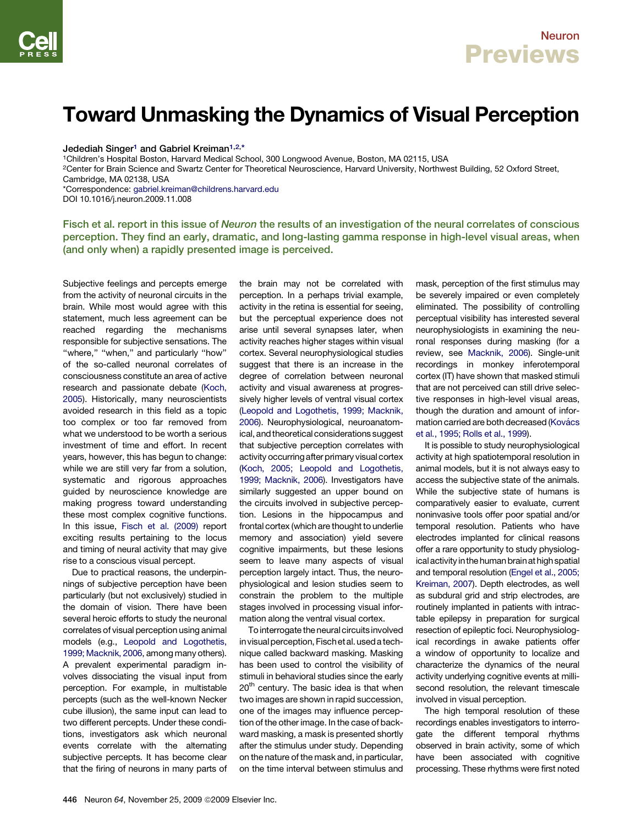## Toward Unmasking the Dynamics of Visual Perception

Jedediah Singer<sup>1</sup> and Gabriel Kreiman<sup>1,2,\*</sup>

1Children's Hospital Boston, Harvard Medical School, 300 Longwood Avenue, Boston, MA 02115, USA

<sup>2</sup>Center for Brain Science and Swartz Center for Theoretical Neuroscience, Harvard University, Northwest Building, 52 Oxford Street, Cambridge, MA 02138, USA

\*Correspondence: [gabriel.kreiman@childrens.harvard.edu](mailto:gabriel.kreiman@childrens.harvard.edu) DOI 10.1016/j.neuron.2009.11.008

Fisch et al. report in this issue of Neuron the results of an investigation of the neural correlates of conscious perception. They find an early, dramatic, and long-lasting gamma response in high-level visual areas, when (and only when) a rapidly presented image is perceived.

Subjective feelings and percepts emerge from the activity of neuronal circuits in the brain. While most would agree with this statement, much less agreement can be reached regarding the mechanisms responsible for subjective sensations. The "where," "when," and particularly "how" of the so-called neuronal correlates of consciousness constitute an area of active research and passionate debate [\(Koch,](#page-1-0) [2005](#page-1-0)). Historically, many neuroscientists avoided research in this field as a topic too complex or too far removed from what we understood to be worth a serious investment of time and effort. In recent years, however, this has begun to change: while we are still very far from a solution, systematic and rigorous approaches guided by neuroscience knowledge are making progress toward understanding these most complex cognitive functions. In this issue, [Fisch et al. \(2009\)](#page-1-0) report exciting results pertaining to the locus and timing of neural activity that may give rise to a conscious visual percept.

Due to practical reasons, the underpinnings of subjective perception have been particularly (but not exclusively) studied in the domain of vision. There have been several heroic efforts to study the neuronal correlates of visual perception using animal models (e.g., [Leopold and Logothetis,](#page-1-0) [1999; Macknik, 2006,](#page-1-0) among many others). A prevalent experimental paradigm involves dissociating the visual input from perception. For example, in multistable percepts (such as the well-known Necker cube illusion), the same input can lead to two different percepts. Under these conditions, investigators ask which neuronal events correlate with the alternating subjective percepts. It has become clear that the firing of neurons in many parts of the brain may not be correlated with perception. In a perhaps trivial example, activity in the retina is essential for seeing, but the perceptual experience does not arise until several synapses later, when activity reaches higher stages within visual cortex. Several neurophysiological studies suggest that there is an increase in the degree of correlation between neuronal activity and visual awareness at progressively higher levels of ventral visual cortex [\(Leopold and Logothetis, 1999; Macknik,](#page-1-0) [2006](#page-1-0)). Neurophysiological, neuroanatomical, and theoretical considerations suggest that subjective perception correlates with activity occurringafter primary visual cortex [\(Koch, 2005; Leopold and Logothetis,](#page-1-0) [1999; Macknik, 2006](#page-1-0)). Investigators have similarly suggested an upper bound on the circuits involved in subjective perception. Lesions in the hippocampus and frontal cortex (which are thought to underlie memory and association) yield severe cognitive impairments, but these lesions seem to leave many aspects of visual perception largely intact. Thus, the neurophysiological and lesion studies seem to constrain the problem to the multiple stages involved in processing visual information along the ventral visual cortex.

To interrogate the neural circuits involved in visual perception, Fisch et al. used a technique called backward masking. Masking has been used to control the visibility of stimuli in behavioral studies since the early  $20<sup>th</sup>$  century. The basic idea is that when two images are shown in rapid succession, one of the images may influence perception of the other image. In the case of backward masking, a mask is presented shortly after the stimulus under study. Depending on the nature of the mask and, in particular, on the time interval between stimulus and

mask, perception of the first stimulus may be severely impaired or even completely eliminated. The possibility of controlling perceptual visibility has interested several neurophysiologists in examining the neuronal responses during masking (for a review, see [Macknik, 2006\)](#page-1-0). Single-unit recordings in monkey inferotemporal cortex (IT) have shown that masked stimuli that are not perceived can still drive selective responses in high-level visual areas. though the duration and amount of information carried are both decreased (Kovács [et al., 1995; Rolls et al., 1999\)](#page-1-0).

It is possible to study neurophysiological activity at high spatiotemporal resolution in animal models, but it is not always easy to access the subjective state of the animals. While the subjective state of humans is comparatively easier to evaluate, current noninvasive tools offer poor spatial and/or temporal resolution. Patients who have electrodes implanted for clinical reasons offer a rare opportunity to study physiological activity in the human brain at high spatial and temporal resolution [\(Engel et al., 2005;](#page-1-0) [Kreiman, 2007](#page-1-0)). Depth electrodes, as well as subdural grid and strip electrodes, are routinely implanted in patients with intractable epilepsy in preparation for surgical resection of epileptic foci. Neurophysiological recordings in awake patients offer a window of opportunity to localize and characterize the dynamics of the neural activity underlying cognitive events at millisecond resolution, the relevant timescale involved in visual perception.

The high temporal resolution of these recordings enables investigators to interrogate the different temporal rhythms observed in brain activity, some of which have been associated with cognitive processing. These rhythms were first noted